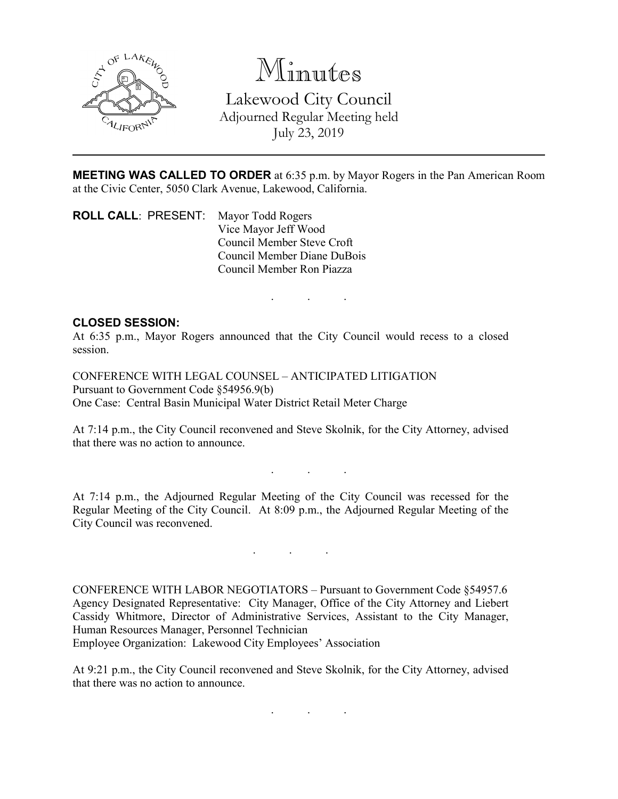

Minutes Lakewood City Council Adjourned Regular Meeting held July 23, 2019

**MEETING WAS CALLED TO ORDER** at 6:35 p.m. by Mayor Rogers in the Pan American Room at the Civic Center, 5050 Clark Avenue, Lakewood, California.

**ROLL CALL**: PRESENT: Mayor Todd Rogers Vice Mayor Jeff Wood Council Member Steve Croft Council Member Diane DuBois Council Member Ron Piazza

. . .

## **CLOSED SESSION:**

At 6:35 p.m., Mayor Rogers announced that the City Council would recess to a closed session.

CONFERENCE WITH LEGAL COUNSEL – ANTICIPATED LITIGATION Pursuant to Government Code §54956.9(b) One Case: Central Basin Municipal Water District Retail Meter Charge

At 7:14 p.m., the City Council reconvened and Steve Skolnik, for the City Attorney, advised that there was no action to announce.

. . .

At 7:14 p.m., the Adjourned Regular Meeting of the City Council was recessed for the Regular Meeting of the City Council. At 8:09 p.m., the Adjourned Regular Meeting of the City Council was reconvened.

. . .

CONFERENCE WITH LABOR NEGOTIATORS – Pursuant to Government Code §54957.6 Agency Designated Representative: City Manager, Office of the City Attorney and Liebert Cassidy Whitmore, Director of Administrative Services, Assistant to the City Manager, Human Resources Manager, Personnel Technician

Employee Organization: Lakewood City Employees' Association

At 9:21 p.m., the City Council reconvened and Steve Skolnik, for the City Attorney, advised that there was no action to announce.

. . .